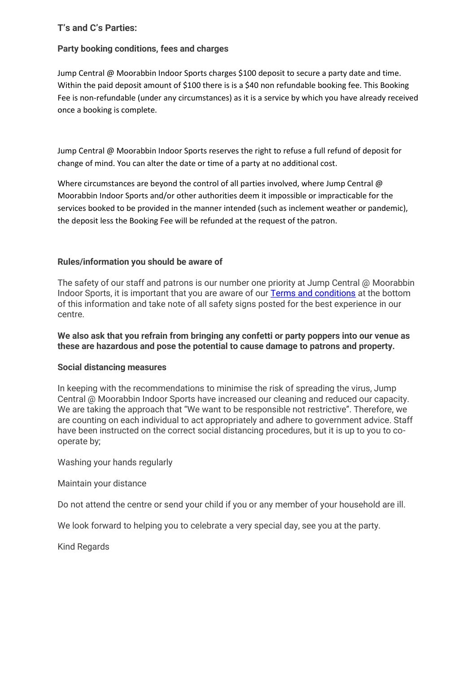# **T's and C's Parties:**

## **Party booking conditions, fees and charges**

Jump Central @ Moorabbin Indoor Sports charges \$100 deposit to secure a party date and time. Within the paid deposit amount of \$100 there is is a \$40 non refundable booking fee. This Booking Fee is non-refundable (under any circumstances) as it is a service by which you have already received once a booking is complete.

Jump Central @ Moorabbin Indoor Sports reserves the right to refuse a full refund of deposit for change of mind. You can alter the date or time of a party at no additional cost.

Where circumstances are beyond the control of all parties involved, where Jump Central @ Moorabbin Indoor Sports and/or other authorities deem it impossible or impracticable for the services booked to be provided in the manner intended (such as inclement weather or pandemic), the deposit less the Booking Fee will be refunded at the request of the patron.

### **Rules/information you should be aware of**

The safety of our staff and patrons is our number one priority at Jump Central @ Moorabbin Indoor Sports, it is important that you are aware of our [Terms and conditions](http://jumpcentral.com.au/wp-content/uploads/2020/06/NEW-Jump-Central-@-Moorabbin-Indoor-Sports-Terms-Conditions-2020.pdf) at the bottom of this information and take note of all safety signs posted for the best experience in our centre.

**We also ask that you refrain from bringing any confetti or party poppers into our venue as these are hazardous and pose the potential to cause damage to patrons and property.**

### **Social distancing measures**

In keeping with the recommendations to minimise the risk of spreading the virus, Jump Central @ Moorabbin Indoor Sports have increased our cleaning and reduced our capacity. We are taking the approach that "We want to be responsible not restrictive". Therefore, we are counting on each individual to act appropriately and adhere to government advice. Staff have been instructed on the correct social distancing procedures, but it is up to you to cooperate by;

Washing your hands regularly

Maintain your distance

Do not attend the centre or send your child if you or any member of your household are ill.

We look forward to helping you to celebrate a very special day, see you at the party.

Kind Regards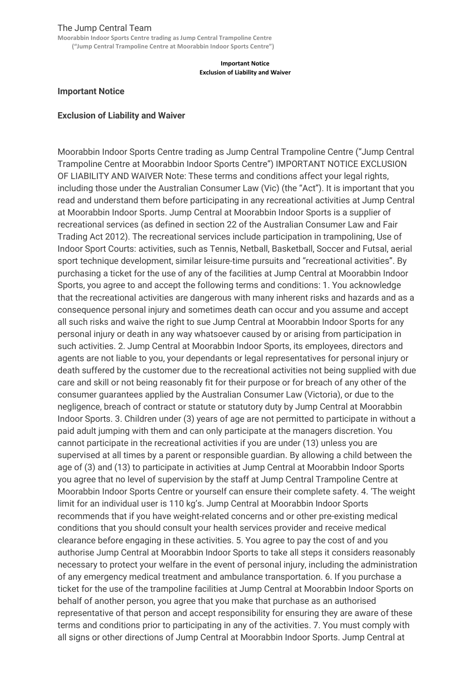### The Jump Central Team

**Moorabbin Indoor Sports Centre trading as Jump Central Trampoline Centre ("Jump Central Trampoline Centre at Moorabbin Indoor Sports Centre")**

> **Important Notice Exclusion of Liability and Waiver**

#### **Important Notice**

#### **Exclusion of Liability and Waiver**

Moorabbin Indoor Sports Centre trading as Jump Central Trampoline Centre ("Jump Central Trampoline Centre at Moorabbin Indoor Sports Centre") IMPORTANT NOTICE EXCLUSION OF LIABILITY AND WAIVER Note: These terms and conditions affect your legal rights, including those under the Australian Consumer Law (Vic) (the "Act"). It is important that you read and understand them before participating in any recreational activities at Jump Central at Moorabbin Indoor Sports. Jump Central at Moorabbin Indoor Sports is a supplier of recreational services (as defined in section 22 of the Australian Consumer Law and Fair Trading Act 2012). The recreational services include participation in trampolining, Use of Indoor Sport Courts: activities, such as Tennis, Netball, Basketball, Soccer and Futsal, aerial sport technique development, similar leisure-time pursuits and "recreational activities". By purchasing a ticket for the use of any of the facilities at Jump Central at Moorabbin Indoor Sports, you agree to and accept the following terms and conditions: 1. You acknowledge that the recreational activities are dangerous with many inherent risks and hazards and as a consequence personal injury and sometimes death can occur and you assume and accept all such risks and waive the right to sue Jump Central at Moorabbin Indoor Sports for any personal injury or death in any way whatsoever caused by or arising from participation in such activities. 2. Jump Central at Moorabbin Indoor Sports, its employees, directors and agents are not liable to you, your dependants or legal representatives for personal injury or death suffered by the customer due to the recreational activities not being supplied with due care and skill or not being reasonably fit for their purpose or for breach of any other of the consumer guarantees applied by the Australian Consumer Law (Victoria), or due to the negligence, breach of contract or statute or statutory duty by Jump Central at Moorabbin Indoor Sports. 3. Children under (3) years of age are not permitted to participate in without a paid adult jumping with them and can only participate at the managers discretion. You cannot participate in the recreational activities if you are under (13) unless you are supervised at all times by a parent or responsible guardian. By allowing a child between the age of (3) and (13) to participate in activities at Jump Central at Moorabbin Indoor Sports you agree that no level of supervision by the staff at Jump Central Trampoline Centre at Moorabbin Indoor Sports Centre or yourself can ensure their complete safety. 4. 'The weight limit for an individual user is 110 kg's. Jump Central at Moorabbin Indoor Sports recommends that if you have weight-related concerns and or other pre-existing medical conditions that you should consult your health services provider and receive medical clearance before engaging in these activities. 5. You agree to pay the cost of and you authorise Jump Central at Moorabbin Indoor Sports to take all steps it considers reasonably necessary to protect your welfare in the event of personal injury, including the administration of any emergency medical treatment and ambulance transportation. 6. If you purchase a ticket for the use of the trampoline facilities at Jump Central at Moorabbin Indoor Sports on behalf of another person, you agree that you make that purchase as an authorised representative of that person and accept responsibility for ensuring they are aware of these terms and conditions prior to participating in any of the activities. 7. You must comply with all signs or other directions of Jump Central at Moorabbin Indoor Sports. Jump Central at